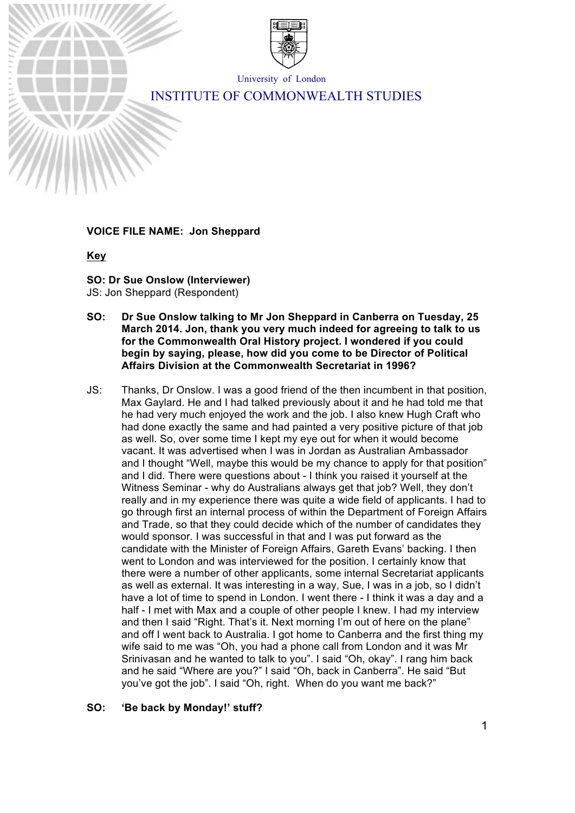

University of London

# INSTITUTE OF COMMONWEALTH STUDIES

# **VOICE FILE NAME: Jon Sheppard**

#### **Key**

**SO: Dr Sue Onslow (Interviewer)** JS: Jon Sheppard (Respondent)

- **SO: Dr Sue Onslow talking to Mr Jon Sheppard in Canberra on Tuesday, 25 March 2014. Jon, thank you very much indeed for agreeing to talk to us for the Commonwealth Oral History project. I wondered if you could begin by saying, please, how did you come to be Director of Political Affairs Division at the Commonwealth Secretariat in 1996?**
- JS: Thanks, Dr Onslow. I was a good friend of the then incumbent in that position, Max Gaylard. He and I had talked previously about it and he had told me that he had very much enjoyed the work and the job. I also knew Hugh Craft who had done exactly the same and had painted a very positive picture of that job as well. So, over some time I kept my eye out for when it would become vacant. It was advertised when I was in Jordan as Australian Ambassador and I thought "Well, maybe this would be my chance to apply for that position" and I did. There were questions about - I think you raised it yourself at the Witness Seminar - why do Australians always get that job? Well, they don't really and in my experience there was quite a wide field of applicants. I had to go through first an internal process of within the Department of Foreign Affairs and Trade, so that they could decide which of the number of candidates they would sponsor. I was successful in that and I was put forward as the candidate with the Minister of Foreign Affairs, Gareth Evans' backing. I then went to London and was interviewed for the position. I certainly know that there were a number of other applicants, some internal Secretariat applicants as well as external. It was interesting in a way, Sue, I was in a job, so I didn't have a lot of time to spend in London. I went there - I think it was a day and a half - I met with Max and a couple of other people I knew. I had my interview and then I said "Right. That's it. Next morning I'm out of here on the plane" and off I went back to Australia. I got home to Canberra and the first thing my wife said to me was "Oh, you had a phone call from London and it was Mr Srinivasan and he wanted to talk to you". I said "Oh, okay". I rang him back and he said "Where are you?" I said "Oh, back in Canberra". He said "But you've got the job". I said "Oh, right. When do you want me back?"

# **SO: 'Be back by Monday!' stuff?**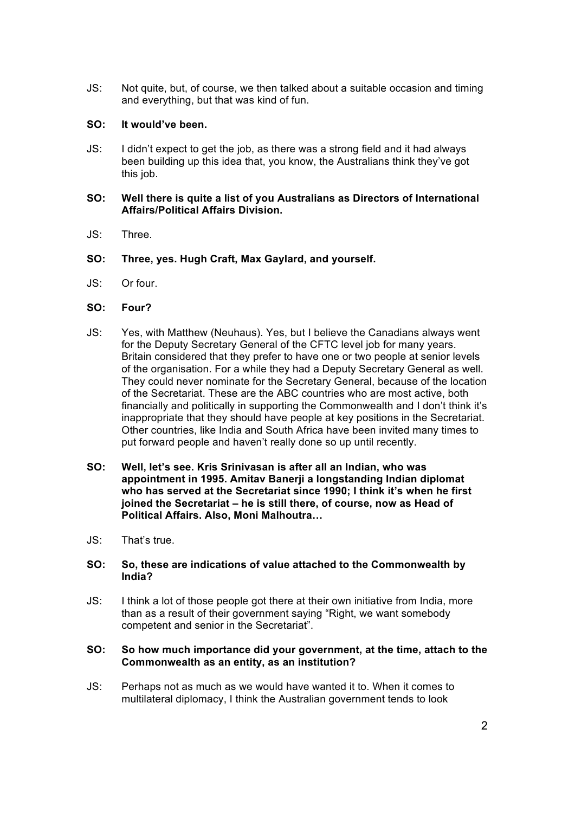JS: Not quite, but, of course, we then talked about a suitable occasion and timing and everything, but that was kind of fun.

# **SO: It would've been.**

JS: I didn't expect to get the job, as there was a strong field and it had always been building up this idea that, you know, the Australians think they've got this job.

#### **SO: Well there is quite a list of you Australians as Directors of International Affairs/Political Affairs Division.**

- JS: Three.
- **SO: Three, yes. Hugh Craft, Max Gaylard, and yourself.**
- JS: Or four.

### **SO: Four?**

- JS: Yes, with Matthew (Neuhaus). Yes, but I believe the Canadians always went for the Deputy Secretary General of the CFTC level job for many years. Britain considered that they prefer to have one or two people at senior levels of the organisation. For a while they had a Deputy Secretary General as well. They could never nominate for the Secretary General, because of the location of the Secretariat. These are the ABC countries who are most active, both financially and politically in supporting the Commonwealth and I don't think it's inappropriate that they should have people at key positions in the Secretariat. Other countries, like India and South Africa have been invited many times to put forward people and haven't really done so up until recently.
- **SO: Well, let's see. Kris Srinivasan is after all an Indian, who was appointment in 1995. Amitav Banerji a longstanding Indian diplomat who has served at the Secretariat since 1990; I think it's when he first joined the Secretariat – he is still there, of course, now as Head of Political Affairs. Also, Moni Malhoutra…**
- JS: That's true.

#### **SO: So, these are indications of value attached to the Commonwealth by India?**

JS: I think a lot of those people got there at their own initiative from India, more than as a result of their government saying "Right, we want somebody competent and senior in the Secretariat".

#### **SO: So how much importance did your government, at the time, attach to the Commonwealth as an entity, as an institution?**

JS: Perhaps not as much as we would have wanted it to. When it comes to multilateral diplomacy, I think the Australian government tends to look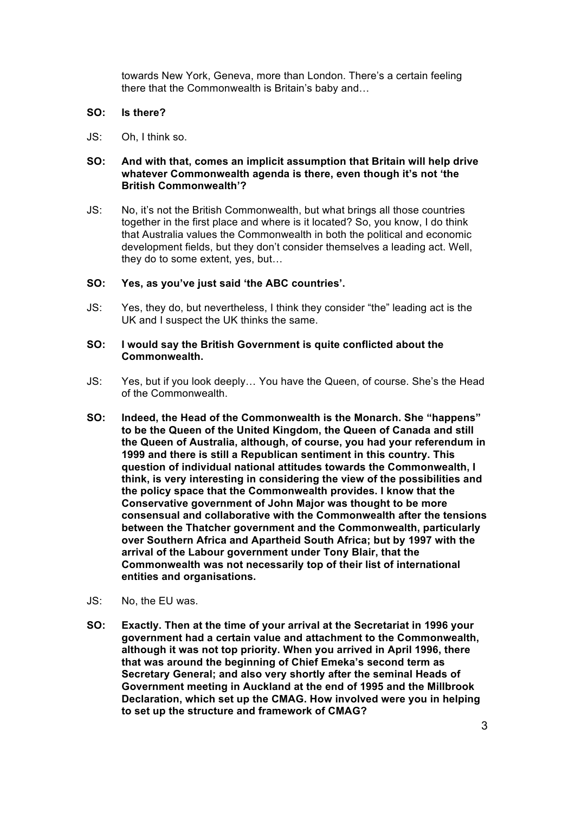towards New York, Geneva, more than London. There's a certain feeling there that the Commonwealth is Britain's baby and…

### **SO: Is there?**

JS: Oh, I think so.

# **SO: And with that, comes an implicit assumption that Britain will help drive whatever Commonwealth agenda is there, even though it's not 'the British Commonwealth'?**

JS: No, it's not the British Commonwealth, but what brings all those countries together in the first place and where is it located? So, you know, I do think that Australia values the Commonwealth in both the political and economic development fields, but they don't consider themselves a leading act. Well, they do to some extent, yes, but…

### **SO: Yes, as you've just said 'the ABC countries'.**

JS: Yes, they do, but nevertheless, I think they consider "the" leading act is the UK and I suspect the UK thinks the same.

#### **SO: I would say the British Government is quite conflicted about the Commonwealth.**

- JS: Yes, but if you look deeply… You have the Queen, of course. She's the Head of the Commonwealth.
- **SO: Indeed, the Head of the Commonwealth is the Monarch. She "happens" to be the Queen of the United Kingdom, the Queen of Canada and still the Queen of Australia, although, of course, you had your referendum in 1999 and there is still a Republican sentiment in this country. This question of individual national attitudes towards the Commonwealth, I think, is very interesting in considering the view of the possibilities and the policy space that the Commonwealth provides. I know that the Conservative government of John Major was thought to be more consensual and collaborative with the Commonwealth after the tensions between the Thatcher government and the Commonwealth, particularly over Southern Africa and Apartheid South Africa; but by 1997 with the arrival of the Labour government under Tony Blair, that the Commonwealth was not necessarily top of their list of international entities and organisations.**
- JS: No, the EU was.
- **SO: Exactly. Then at the time of your arrival at the Secretariat in 1996 your government had a certain value and attachment to the Commonwealth, although it was not top priority. When you arrived in April 1996, there that was around the beginning of Chief Emeka's second term as Secretary General; and also very shortly after the seminal Heads of Government meeting in Auckland at the end of 1995 and the Millbrook Declaration, which set up the CMAG. How involved were you in helping to set up the structure and framework of CMAG?**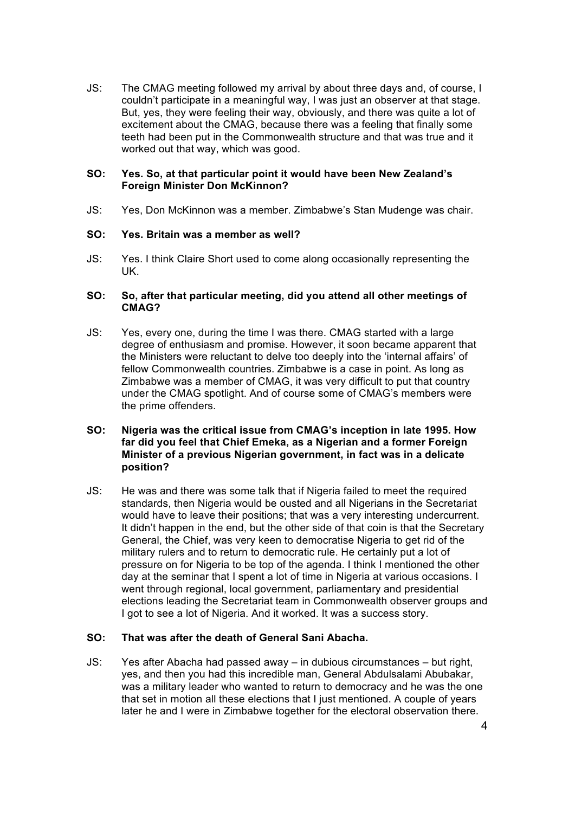JS: The CMAG meeting followed my arrival by about three days and, of course, I couldn't participate in a meaningful way, I was just an observer at that stage. But, yes, they were feeling their way, obviously, and there was quite a lot of excitement about the CMAG, because there was a feeling that finally some teeth had been put in the Commonwealth structure and that was true and it worked out that way, which was good.

# **SO: Yes. So, at that particular point it would have been New Zealand's Foreign Minister Don McKinnon?**

JS: Yes, Don McKinnon was a member. Zimbabwe's Stan Mudenge was chair.

### **SO: Yes. Britain was a member as well?**

JS: Yes. I think Claire Short used to come along occasionally representing the UK.

#### **SO: So, after that particular meeting, did you attend all other meetings of CMAG?**

JS: Yes, every one, during the time I was there. CMAG started with a large degree of enthusiasm and promise. However, it soon became apparent that the Ministers were reluctant to delve too deeply into the 'internal affairs' of fellow Commonwealth countries. Zimbabwe is a case in point. As long as Zimbabwe was a member of CMAG, it was very difficult to put that country under the CMAG spotlight. And of course some of CMAG's members were the prime offenders.

# **SO: Nigeria was the critical issue from CMAG's inception in late 1995. How far did you feel that Chief Emeka, as a Nigerian and a former Foreign Minister of a previous Nigerian government, in fact was in a delicate position?**

JS: He was and there was some talk that if Nigeria failed to meet the required standards, then Nigeria would be ousted and all Nigerians in the Secretariat would have to leave their positions; that was a very interesting undercurrent. It didn't happen in the end, but the other side of that coin is that the Secretary General, the Chief, was very keen to democratise Nigeria to get rid of the military rulers and to return to democratic rule. He certainly put a lot of pressure on for Nigeria to be top of the agenda. I think I mentioned the other day at the seminar that I spent a lot of time in Nigeria at various occasions. I went through regional, local government, parliamentary and presidential elections leading the Secretariat team in Commonwealth observer groups and I got to see a lot of Nigeria. And it worked. It was a success story.

# **SO: That was after the death of General Sani Abacha.**

JS: Yes after Abacha had passed away – in dubious circumstances – but right, yes, and then you had this incredible man, General Abdulsalami Abubakar, was a military leader who wanted to return to democracy and he was the one that set in motion all these elections that I just mentioned. A couple of years later he and I were in Zimbabwe together for the electoral observation there.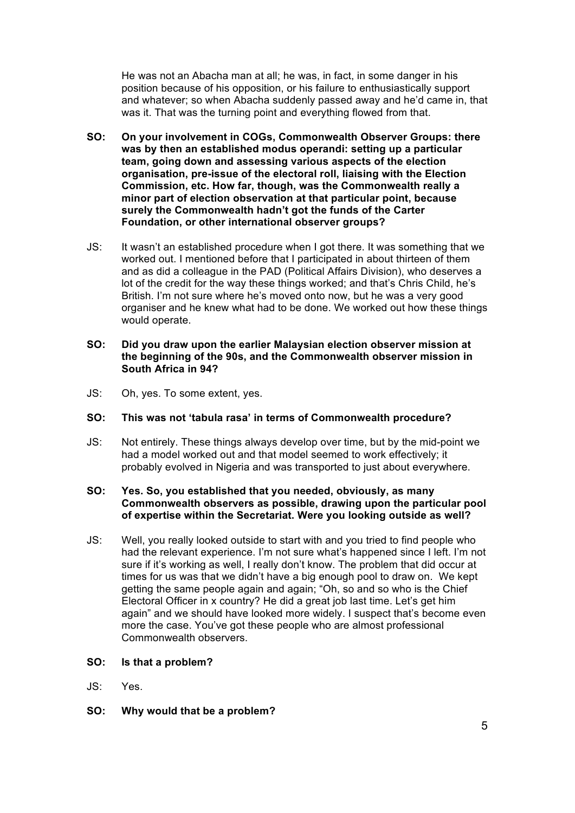He was not an Abacha man at all; he was, in fact, in some danger in his position because of his opposition, or his failure to enthusiastically support and whatever; so when Abacha suddenly passed away and he'd came in, that was it. That was the turning point and everything flowed from that.

- **SO: On your involvement in COGs, Commonwealth Observer Groups: there was by then an established modus operandi: setting up a particular team, going down and assessing various aspects of the election organisation, pre-issue of the electoral roll, liaising with the Election Commission, etc. How far, though, was the Commonwealth really a minor part of election observation at that particular point, because surely the Commonwealth hadn't got the funds of the Carter Foundation, or other international observer groups?**
- JS: It wasn't an established procedure when I got there. It was something that we worked out. I mentioned before that I participated in about thirteen of them and as did a colleague in the PAD (Political Affairs Division), who deserves a lot of the credit for the way these things worked; and that's Chris Child, he's British. I'm not sure where he's moved onto now, but he was a very good organiser and he knew what had to be done. We worked out how these things would operate.
- **SO: Did you draw upon the earlier Malaysian election observer mission at the beginning of the 90s, and the Commonwealth observer mission in South Africa in 94?**
- JS: Oh, yes. To some extent, yes.

#### **SO: This was not 'tabula rasa' in terms of Commonwealth procedure?**

JS: Not entirely. These things always develop over time, but by the mid-point we had a model worked out and that model seemed to work effectively; it probably evolved in Nigeria and was transported to just about everywhere.

# **SO: Yes. So, you established that you needed, obviously, as many Commonwealth observers as possible, drawing upon the particular pool of expertise within the Secretariat. Were you looking outside as well?**

- JS: Well, you really looked outside to start with and you tried to find people who had the relevant experience. I'm not sure what's happened since I left. I'm not sure if it's working as well, I really don't know. The problem that did occur at times for us was that we didn't have a big enough pool to draw on. We kept getting the same people again and again; "Oh, so and so who is the Chief Electoral Officer in x country? He did a great job last time. Let's get him again" and we should have looked more widely. I suspect that's become even more the case. You've got these people who are almost professional Commonwealth observers.
- **SO: Is that a problem?**
- JS: Yes.
- **SO: Why would that be a problem?**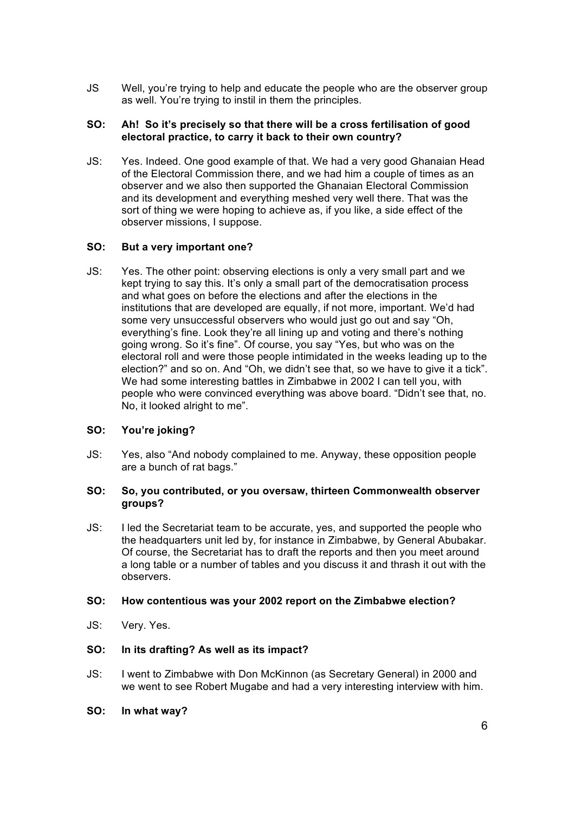JS Well, you're trying to help and educate the people who are the observer group as well. You're trying to instil in them the principles.

# **SO: Ah! So it's precisely so that there will be a cross fertilisation of good electoral practice, to carry it back to their own country?**

JS: Yes. Indeed. One good example of that. We had a very good Ghanaian Head of the Electoral Commission there, and we had him a couple of times as an observer and we also then supported the Ghanaian Electoral Commission and its development and everything meshed very well there. That was the sort of thing we were hoping to achieve as, if you like, a side effect of the observer missions, I suppose.

# **SO: But a very important one?**

JS: Yes. The other point: observing elections is only a very small part and we kept trying to say this. It's only a small part of the democratisation process and what goes on before the elections and after the elections in the institutions that are developed are equally, if not more, important. We'd had some very unsuccessful observers who would just go out and say "Oh, everything's fine. Look they're all lining up and voting and there's nothing going wrong. So it's fine". Of course, you say "Yes, but who was on the electoral roll and were those people intimidated in the weeks leading up to the election?" and so on. And "Oh, we didn't see that, so we have to give it a tick". We had some interesting battles in Zimbabwe in 2002 I can tell you, with people who were convinced everything was above board. "Didn't see that, no. No, it looked alright to me".

# **SO: You're joking?**

JS: Yes, also "And nobody complained to me. Anyway, these opposition people are a bunch of rat bags."

# **SO: So, you contributed, or you oversaw, thirteen Commonwealth observer groups?**

JS: I led the Secretariat team to be accurate, yes, and supported the people who the headquarters unit led by, for instance in Zimbabwe, by General Abubakar. Of course, the Secretariat has to draft the reports and then you meet around a long table or a number of tables and you discuss it and thrash it out with the observers.

#### **SO: How contentious was your 2002 report on the Zimbabwe election?**

JS: Very. Yes.

#### **SO: In its drafting? As well as its impact?**

- JS: I went to Zimbabwe with Don McKinnon (as Secretary General) in 2000 and we went to see Robert Mugabe and had a very interesting interview with him.
- **SO: In what way?**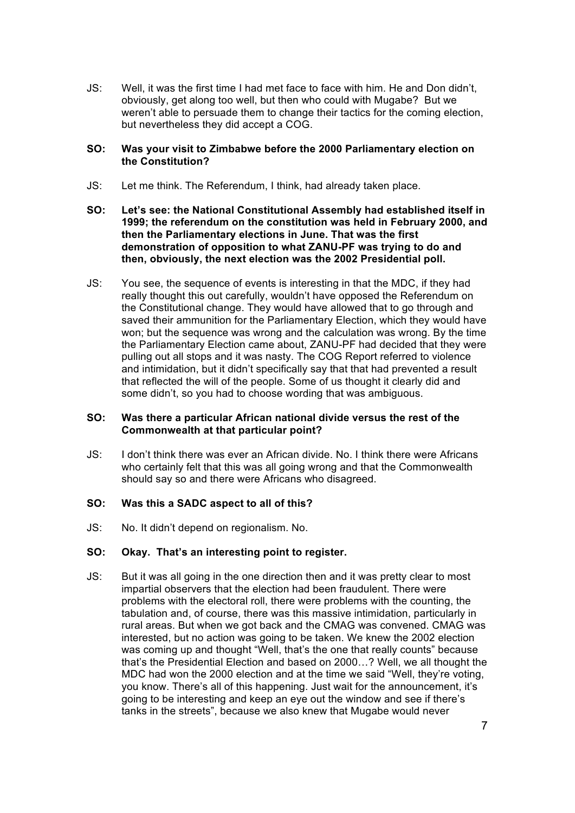JS: Well, it was the first time I had met face to face with him. He and Don didn't, obviously, get along too well, but then who could with Mugabe? But we weren't able to persuade them to change their tactics for the coming election, but nevertheless they did accept a COG.

### **SO: Was your visit to Zimbabwe before the 2000 Parliamentary election on the Constitution?**

- JS: Let me think. The Referendum, I think, had already taken place.
- **SO: Let's see: the National Constitutional Assembly had established itself in 1999; the referendum on the constitution was held in February 2000, and then the Parliamentary elections in June. That was the first demonstration of opposition to what ZANU-PF was trying to do and then, obviously, the next election was the 2002 Presidential poll.**
- JS: You see, the sequence of events is interesting in that the MDC, if they had really thought this out carefully, wouldn't have opposed the Referendum on the Constitutional change. They would have allowed that to go through and saved their ammunition for the Parliamentary Election, which they would have won; but the sequence was wrong and the calculation was wrong. By the time the Parliamentary Election came about, ZANU-PF had decided that they were pulling out all stops and it was nasty. The COG Report referred to violence and intimidation, but it didn't specifically say that that had prevented a result that reflected the will of the people. Some of us thought it clearly did and some didn't, so you had to choose wording that was ambiguous.

### **SO: Was there a particular African national divide versus the rest of the Commonwealth at that particular point?**

JS: I don't think there was ever an African divide. No. I think there were Africans who certainly felt that this was all going wrong and that the Commonwealth should say so and there were Africans who disagreed.

### **SO: Was this a SADC aspect to all of this?**

JS: No. It didn't depend on regionalism. No.

#### **SO: Okay. That's an interesting point to register.**

JS: But it was all going in the one direction then and it was pretty clear to most impartial observers that the election had been fraudulent. There were problems with the electoral roll, there were problems with the counting, the tabulation and, of course, there was this massive intimidation, particularly in rural areas. But when we got back and the CMAG was convened. CMAG was interested, but no action was going to be taken. We knew the 2002 election was coming up and thought "Well, that's the one that really counts" because that's the Presidential Election and based on 2000…? Well, we all thought the MDC had won the 2000 election and at the time we said "Well, they're voting, you know. There's all of this happening. Just wait for the announcement, it's going to be interesting and keep an eye out the window and see if there's tanks in the streets", because we also knew that Mugabe would never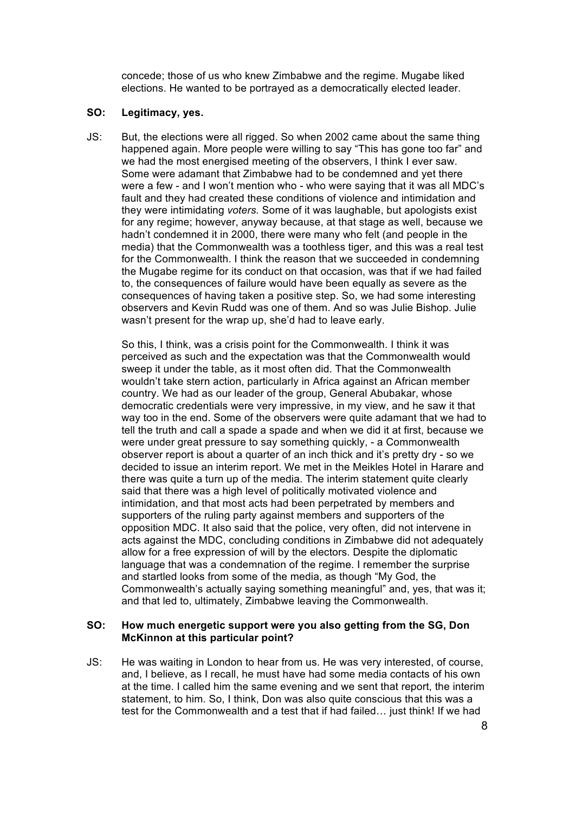concede; those of us who knew Zimbabwe and the regime. Mugabe liked elections. He wanted to be portrayed as a democratically elected leader.

#### **SO: Legitimacy, yes.**

JS: But, the elections were all rigged. So when 2002 came about the same thing happened again. More people were willing to say "This has gone too far" and we had the most energised meeting of the observers, I think I ever saw. Some were adamant that Zimbabwe had to be condemned and yet there were a few - and I won't mention who - who were saying that it was all MDC's fault and they had created these conditions of violence and intimidation and they were intimidating *voters.* Some of it was laughable, but apologists exist for any regime; however, anyway because, at that stage as well, because we hadn't condemned it in 2000, there were many who felt (and people in the media) that the Commonwealth was a toothless tiger, and this was a real test for the Commonwealth. I think the reason that we succeeded in condemning the Mugabe regime for its conduct on that occasion, was that if we had failed to, the consequences of failure would have been equally as severe as the consequences of having taken a positive step. So, we had some interesting observers and Kevin Rudd was one of them. And so was Julie Bishop. Julie wasn't present for the wrap up, she'd had to leave early.

So this, I think, was a crisis point for the Commonwealth. I think it was perceived as such and the expectation was that the Commonwealth would sweep it under the table, as it most often did. That the Commonwealth wouldn't take stern action, particularly in Africa against an African member country. We had as our leader of the group, General Abubakar, whose democratic credentials were very impressive, in my view, and he saw it that way too in the end. Some of the observers were quite adamant that we had to tell the truth and call a spade a spade and when we did it at first, because we were under great pressure to say something quickly, - a Commonwealth observer report is about a quarter of an inch thick and it's pretty dry - so we decided to issue an interim report. We met in the Meikles Hotel in Harare and there was quite a turn up of the media. The interim statement quite clearly said that there was a high level of politically motivated violence and intimidation, and that most acts had been perpetrated by members and supporters of the ruling party against members and supporters of the opposition MDC. It also said that the police, very often, did not intervene in acts against the MDC, concluding conditions in Zimbabwe did not adequately allow for a free expression of will by the electors. Despite the diplomatic language that was a condemnation of the regime. I remember the surprise and startled looks from some of the media, as though "My God, the Commonwealth's actually saying something meaningful" and, yes, that was it; and that led to, ultimately, Zimbabwe leaving the Commonwealth.

### **SO: How much energetic support were you also getting from the SG, Don McKinnon at this particular point?**

JS: He was waiting in London to hear from us. He was very interested, of course, and, I believe, as I recall, he must have had some media contacts of his own at the time. I called him the same evening and we sent that report, the interim statement, to him. So, I think, Don was also quite conscious that this was a test for the Commonwealth and a test that if had failed… just think! If we had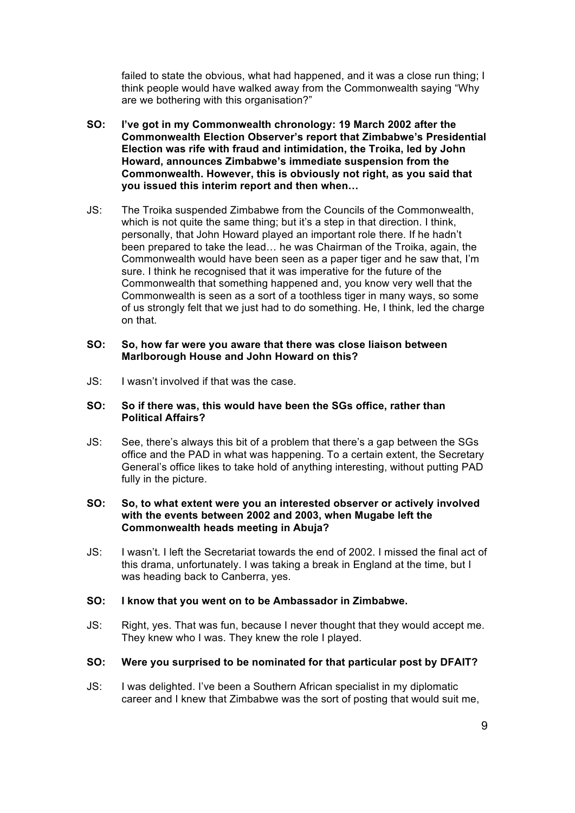failed to state the obvious, what had happened, and it was a close run thing; I think people would have walked away from the Commonwealth saying "Why are we bothering with this organisation?"

- **SO: I've got in my Commonwealth chronology: 19 March 2002 after the Commonwealth Election Observer's report that Zimbabwe's Presidential Election was rife with fraud and intimidation, the Troika, led by John Howard, announces Zimbabwe's immediate suspension from the Commonwealth. However, this is obviously not right, as you said that you issued this interim report and then when…**
- JS: The Troika suspended Zimbabwe from the Councils of the Commonwealth, which is not quite the same thing; but it's a step in that direction. I think, personally, that John Howard played an important role there. If he hadn't been prepared to take the lead… he was Chairman of the Troika, again, the Commonwealth would have been seen as a paper tiger and he saw that, I'm sure. I think he recognised that it was imperative for the future of the Commonwealth that something happened and, you know very well that the Commonwealth is seen as a sort of a toothless tiger in many ways, so some of us strongly felt that we just had to do something. He, I think, led the charge on that.

#### **SO: So, how far were you aware that there was close liaison between Marlborough House and John Howard on this?**

JS: I wasn't involved if that was the case.

### **SO: So if there was, this would have been the SGs office, rather than Political Affairs?**

JS: See, there's always this bit of a problem that there's a gap between the SGs office and the PAD in what was happening. To a certain extent, the Secretary General's office likes to take hold of anything interesting, without putting PAD fully in the picture.

# **SO: So, to what extent were you an interested observer or actively involved with the events between 2002 and 2003, when Mugabe left the Commonwealth heads meeting in Abuja?**

JS: I wasn't. I left the Secretariat towards the end of 2002. I missed the final act of this drama, unfortunately. I was taking a break in England at the time, but I was heading back to Canberra, yes.

# **SO: I know that you went on to be Ambassador in Zimbabwe.**

JS: Right, yes. That was fun, because I never thought that they would accept me. They knew who I was. They knew the role I played.

#### **SO: Were you surprised to be nominated for that particular post by DFAIT?**

JS: I was delighted. I've been a Southern African specialist in my diplomatic career and I knew that Zimbabwe was the sort of posting that would suit me,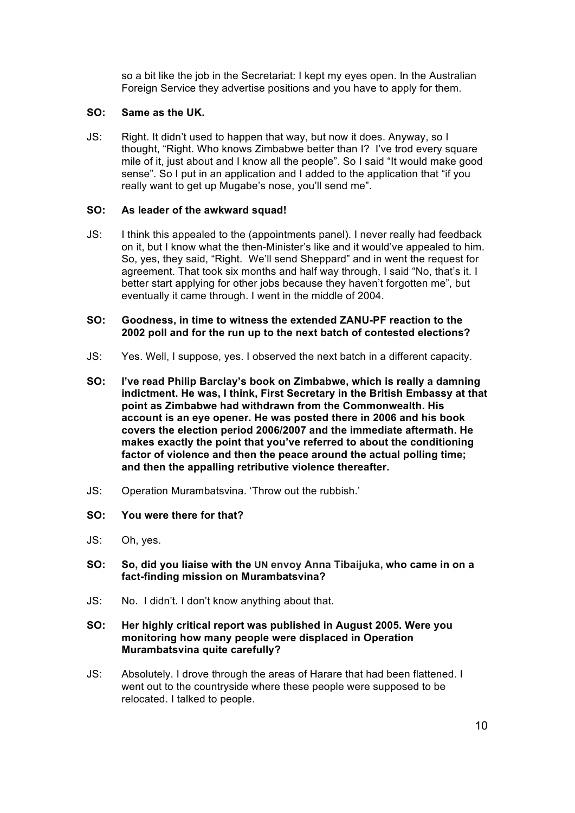so a bit like the job in the Secretariat: I kept my eyes open. In the Australian Foreign Service they advertise positions and you have to apply for them.

# **SO: Same as the UK.**

JS: Right. It didn't used to happen that way, but now it does. Anyway, so I thought, "Right. Who knows Zimbabwe better than I? I've trod every square mile of it, just about and I know all the people". So I said "It would make good sense". So I put in an application and I added to the application that "if you really want to get up Mugabe's nose, you'll send me".

# **SO: As leader of the awkward squad!**

JS: I think this appealed to the (appointments panel). I never really had feedback on it, but I know what the then-Minister's like and it would've appealed to him. So, yes, they said, "Right. We'll send Sheppard" and in went the request for agreement. That took six months and half way through, I said "No, that's it. I better start applying for other jobs because they haven't forgotten me", but eventually it came through. I went in the middle of 2004.

# **SO: Goodness, in time to witness the extended ZANU-PF reaction to the 2002 poll and for the run up to the next batch of contested elections?**

- JS: Yes. Well, I suppose, yes. I observed the next batch in a different capacity.
- **SO: I've read Philip Barclay's book on Zimbabwe, which is really a damning indictment. He was, I think, First Secretary in the British Embassy at that point as Zimbabwe had withdrawn from the Commonwealth. His account is an eye opener. He was posted there in 2006 and his book covers the election period 2006/2007 and the immediate aftermath. He makes exactly the point that you've referred to about the conditioning factor of violence and then the peace around the actual polling time; and then the appalling retributive violence thereafter.**
- JS: Operation Murambatsvina. 'Throw out the rubbish.'
- **SO: You were there for that?**
- JS: Oh, yes.
- **SO: So, did you liaise with the UN envoy Anna Tibaijuka, who came in on a fact-finding mission on Murambatsvina?**
- JS: No. I didn't. I don't know anything about that.

# **SO: Her highly critical report was published in August 2005. Were you monitoring how many people were displaced in Operation Murambatsvina quite carefully?**

JS: Absolutely. I drove through the areas of Harare that had been flattened. I went out to the countryside where these people were supposed to be relocated. I talked to people.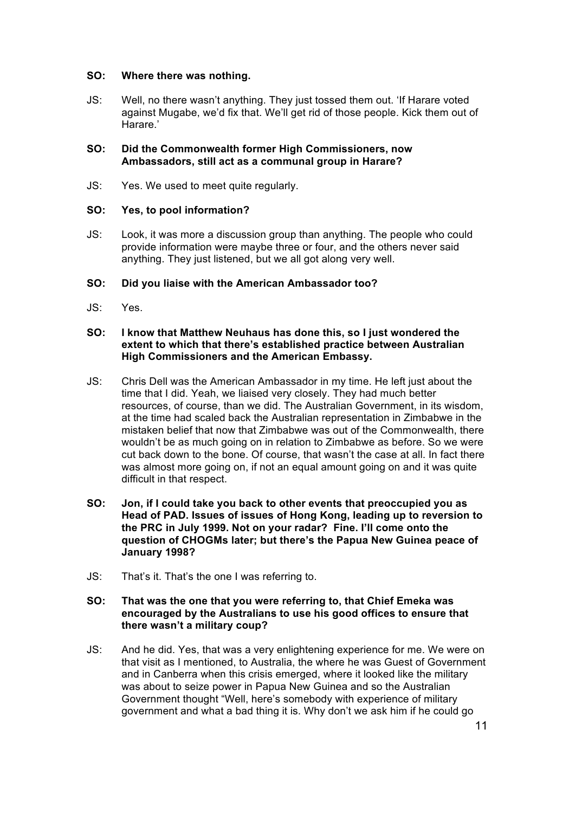#### **SO: Where there was nothing.**

JS: Well, no there wasn't anything. They just tossed them out. 'If Harare voted against Mugabe, we'd fix that. We'll get rid of those people. Kick them out of Harare.'

# **SO: Did the Commonwealth former High Commissioners, now Ambassadors, still act as a communal group in Harare?**

JS: Yes. We used to meet quite regularly.

# **SO: Yes, to pool information?**

JS: Look, it was more a discussion group than anything. The people who could provide information were maybe three or four, and the others never said anything. They just listened, but we all got along very well.

# **SO: Did you liaise with the American Ambassador too?**

JS: Yes.

### **SO: I know that Matthew Neuhaus has done this, so I just wondered the extent to which that there's established practice between Australian High Commissioners and the American Embassy.**

- JS: Chris Dell was the American Ambassador in my time. He left just about the time that I did. Yeah, we liaised very closely. They had much better resources, of course, than we did. The Australian Government, in its wisdom, at the time had scaled back the Australian representation in Zimbabwe in the mistaken belief that now that Zimbabwe was out of the Commonwealth, there wouldn't be as much going on in relation to Zimbabwe as before. So we were cut back down to the bone. Of course, that wasn't the case at all. In fact there was almost more going on, if not an equal amount going on and it was quite difficult in that respect.
- **SO: Jon, if I could take you back to other events that preoccupied you as Head of PAD. Issues of issues of Hong Kong, leading up to reversion to the PRC in July 1999. Not on your radar? Fine. I'll come onto the question of CHOGMs later; but there's the Papua New Guinea peace of January 1998?**
- JS: That's it. That's the one I was referring to.

# **SO: That was the one that you were referring to, that Chief Emeka was encouraged by the Australians to use his good offices to ensure that there wasn't a military coup?**

JS: And he did. Yes, that was a very enlightening experience for me. We were on that visit as I mentioned, to Australia, the where he was Guest of Government and in Canberra when this crisis emerged, where it looked like the military was about to seize power in Papua New Guinea and so the Australian Government thought "Well, here's somebody with experience of military government and what a bad thing it is. Why don't we ask him if he could go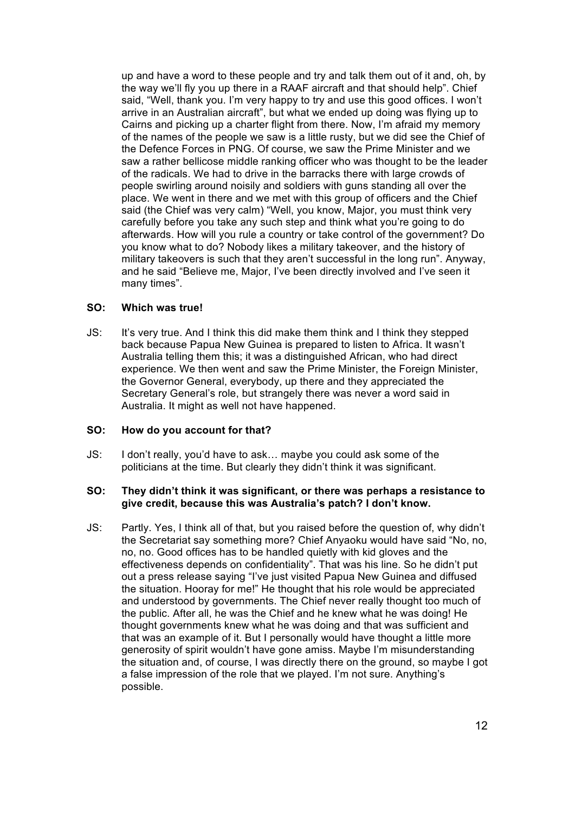up and have a word to these people and try and talk them out of it and, oh, by the way we'll fly you up there in a RAAF aircraft and that should help". Chief said, "Well, thank you. I'm very happy to try and use this good offices. I won't arrive in an Australian aircraft", but what we ended up doing was flying up to Cairns and picking up a charter flight from there. Now, I'm afraid my memory of the names of the people we saw is a little rusty, but we did see the Chief of the Defence Forces in PNG. Of course, we saw the Prime Minister and we saw a rather bellicose middle ranking officer who was thought to be the leader of the radicals. We had to drive in the barracks there with large crowds of people swirling around noisily and soldiers with guns standing all over the place. We went in there and we met with this group of officers and the Chief said (the Chief was very calm) "Well, you know, Major, you must think very carefully before you take any such step and think what you're going to do afterwards. How will you rule a country or take control of the government? Do you know what to do? Nobody likes a military takeover, and the history of military takeovers is such that they aren't successful in the long run". Anyway, and he said "Believe me, Major, I've been directly involved and I've seen it many times".

### **SO: Which was true!**

JS: It's very true. And I think this did make them think and I think they stepped back because Papua New Guinea is prepared to listen to Africa. It wasn't Australia telling them this; it was a distinguished African, who had direct experience. We then went and saw the Prime Minister, the Foreign Minister, the Governor General, everybody, up there and they appreciated the Secretary General's role, but strangely there was never a word said in Australia. It might as well not have happened.

# **SO: How do you account for that?**

JS: I don't really, you'd have to ask… maybe you could ask some of the politicians at the time. But clearly they didn't think it was significant.

# **SO: They didn't think it was significant, or there was perhaps a resistance to give credit, because this was Australia's patch? I don't know.**

JS: Partly. Yes, I think all of that, but you raised before the question of, why didn't the Secretariat say something more? Chief Anyaoku would have said "No, no, no, no. Good offices has to be handled quietly with kid gloves and the effectiveness depends on confidentiality". That was his line. So he didn't put out a press release saying "I've just visited Papua New Guinea and diffused the situation. Hooray for me!" He thought that his role would be appreciated and understood by governments. The Chief never really thought too much of the public. After all, he was the Chief and he knew what he was doing! He thought governments knew what he was doing and that was sufficient and that was an example of it. But I personally would have thought a little more generosity of spirit wouldn't have gone amiss. Maybe I'm misunderstanding the situation and, of course, I was directly there on the ground, so maybe I got a false impression of the role that we played. I'm not sure. Anything's possible.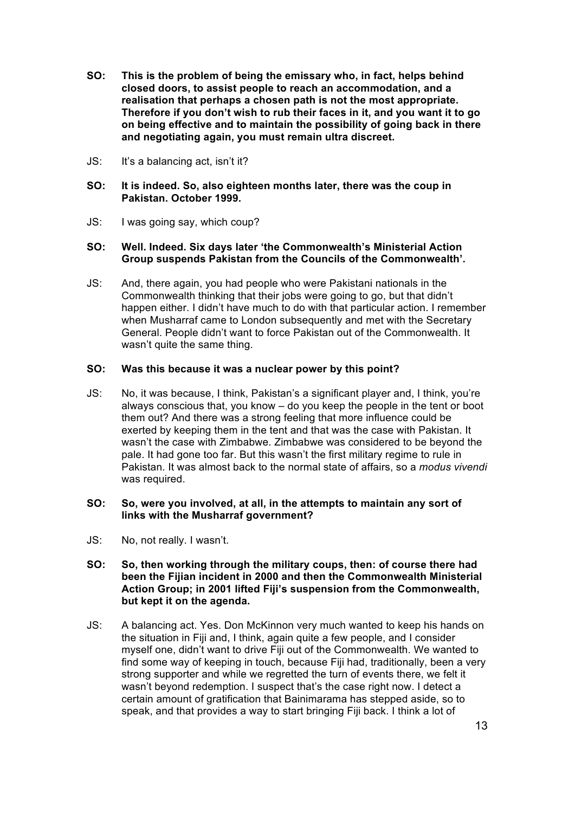- **SO: This is the problem of being the emissary who, in fact, helps behind closed doors, to assist people to reach an accommodation, and a realisation that perhaps a chosen path is not the most appropriate. Therefore if you don't wish to rub their faces in it, and you want it to go on being effective and to maintain the possibility of going back in there and negotiating again, you must remain ultra discreet.**
- JS: It's a balancing act, isn't it?

### **SO: It is indeed. So, also eighteen months later, there was the coup in Pakistan. October 1999.**

JS: I was going say, which coup?

### **SO: Well. Indeed. Six days later 'the Commonwealth's Ministerial Action Group suspends Pakistan from the Councils of the Commonwealth'.**

JS: And, there again, you had people who were Pakistani nationals in the Commonwealth thinking that their jobs were going to go, but that didn't happen either. I didn't have much to do with that particular action. I remember when Musharraf came to London subsequently and met with the Secretary General. People didn't want to force Pakistan out of the Commonwealth. It wasn't quite the same thing.

### **SO: Was this because it was a nuclear power by this point?**

JS: No, it was because, I think, Pakistan's a significant player and, I think, you're always conscious that, you know – do you keep the people in the tent or boot them out? And there was a strong feeling that more influence could be exerted by keeping them in the tent and that was the case with Pakistan. It wasn't the case with Zimbabwe. Zimbabwe was considered to be beyond the pale. It had gone too far. But this wasn't the first military regime to rule in Pakistan. It was almost back to the normal state of affairs, so a *modus vivendi* was required.

### **SO: So, were you involved, at all, in the attempts to maintain any sort of links with the Musharraf government?**

JS: No, not really. I wasn't.

### **SO: So, then working through the military coups, then: of course there had been the Fijian incident in 2000 and then the Commonwealth Ministerial Action Group; in 2001 lifted Fiji's suspension from the Commonwealth, but kept it on the agenda.**

JS: A balancing act. Yes. Don McKinnon very much wanted to keep his hands on the situation in Fiji and, I think, again quite a few people, and I consider myself one, didn't want to drive Fiji out of the Commonwealth. We wanted to find some way of keeping in touch, because Fiji had, traditionally, been a very strong supporter and while we regretted the turn of events there, we felt it wasn't beyond redemption. I suspect that's the case right now. I detect a certain amount of gratification that Bainimarama has stepped aside, so to speak, and that provides a way to start bringing Fiji back. I think a lot of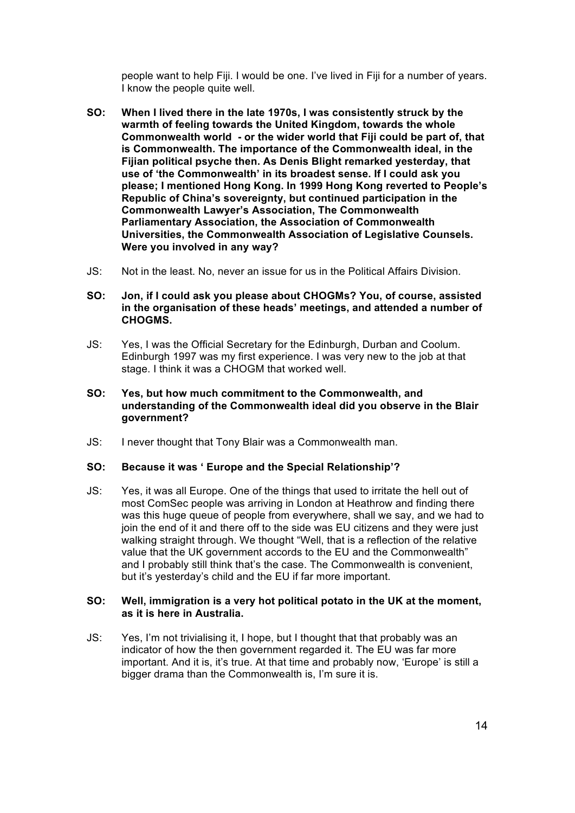people want to help Fiji. I would be one. I've lived in Fiji for a number of years. I know the people quite well.

- **SO: When I lived there in the late 1970s, I was consistently struck by the warmth of feeling towards the United Kingdom, towards the whole Commonwealth world - or the wider world that Fiji could be part of, that is Commonwealth. The importance of the Commonwealth ideal, in the Fijian political psyche then. As Denis Blight remarked yesterday, that use of 'the Commonwealth' in its broadest sense. If I could ask you please; I mentioned Hong Kong. In 1999 Hong Kong reverted to People's Republic of China's sovereignty, but continued participation in the Commonwealth Lawyer's Association, The Commonwealth Parliamentary Association, the Association of Commonwealth Universities, the Commonwealth Association of Legislative Counsels. Were you involved in any way?**
- JS: Not in the least. No, never an issue for us in the Political Affairs Division.
- **SO: Jon, if I could ask you please about CHOGMs? You, of course, assisted in the organisation of these heads' meetings, and attended a number of CHOGMS.**
- JS: Yes, I was the Official Secretary for the Edinburgh, Durban and Coolum. Edinburgh 1997 was my first experience. I was very new to the job at that stage. I think it was a CHOGM that worked well.
- **SO: Yes, but how much commitment to the Commonwealth, and understanding of the Commonwealth ideal did you observe in the Blair government?**
- JS: I never thought that Tony Blair was a Commonwealth man.

#### **SO: Because it was ' Europe and the Special Relationship'?**

JS: Yes, it was all Europe. One of the things that used to irritate the hell out of most ComSec people was arriving in London at Heathrow and finding there was this huge queue of people from everywhere, shall we say, and we had to join the end of it and there off to the side was EU citizens and they were just walking straight through. We thought "Well, that is a reflection of the relative value that the UK government accords to the EU and the Commonwealth" and I probably still think that's the case. The Commonwealth is convenient, but it's yesterday's child and the EU if far more important.

#### **SO: Well, immigration is a very hot political potato in the UK at the moment, as it is here in Australia.**

JS: Yes, I'm not trivialising it, I hope, but I thought that that probably was an indicator of how the then government regarded it. The EU was far more important. And it is, it's true. At that time and probably now, 'Europe' is still a bigger drama than the Commonwealth is, I'm sure it is.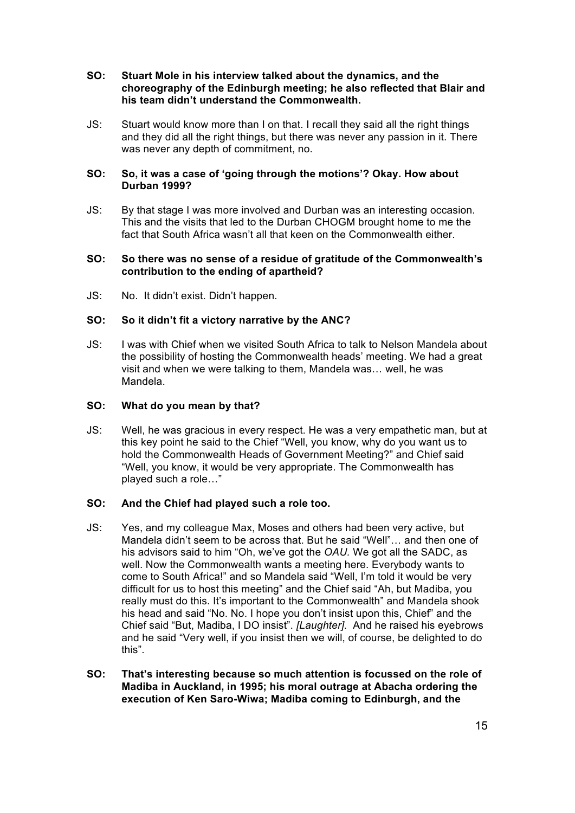#### **SO: Stuart Mole in his interview talked about the dynamics, and the choreography of the Edinburgh meeting; he also reflected that Blair and his team didn't understand the Commonwealth.**

JS: Stuart would know more than I on that. I recall they said all the right things and they did all the right things, but there was never any passion in it. There was never any depth of commitment, no.

### **SO: So, it was a case of 'going through the motions'? Okay. How about Durban 1999?**

JS: By that stage I was more involved and Durban was an interesting occasion. This and the visits that led to the Durban CHOGM brought home to me the fact that South Africa wasn't all that keen on the Commonwealth either.

# **SO: So there was no sense of a residue of gratitude of the Commonwealth's contribution to the ending of apartheid?**

JS: No. It didn't exist. Didn't happen.

### **SO: So it didn't fit a victory narrative by the ANC?**

JS: I was with Chief when we visited South Africa to talk to Nelson Mandela about the possibility of hosting the Commonwealth heads' meeting. We had a great visit and when we were talking to them, Mandela was… well, he was Mandela.

#### **SO: What do you mean by that?**

JS: Well, he was gracious in every respect. He was a very empathetic man, but at this key point he said to the Chief "Well, you know, why do you want us to hold the Commonwealth Heads of Government Meeting?" and Chief said "Well, you know, it would be very appropriate. The Commonwealth has played such a role…"

#### **SO: And the Chief had played such a role too.**

- JS: Yes, and my colleague Max, Moses and others had been very active, but Mandela didn't seem to be across that. But he said "Well"… and then one of his advisors said to him "Oh, we've got the *OAU.* We got all the SADC, as well. Now the Commonwealth wants a meeting here. Everybody wants to come to South Africa!" and so Mandela said "Well, I'm told it would be very difficult for us to host this meeting" and the Chief said "Ah, but Madiba, you really must do this. It's important to the Commonwealth" and Mandela shook his head and said "No. No. I hope you don't insist upon this, Chief" and the Chief said "But, Madiba, I DO insist". *[Laughter]*. And he raised his eyebrows and he said "Very well, if you insist then we will, of course, be delighted to do this".
- **SO: That's interesting because so much attention is focussed on the role of Madiba in Auckland, in 1995; his moral outrage at Abacha ordering the execution of Ken Saro-Wiwa; Madiba coming to Edinburgh, and the**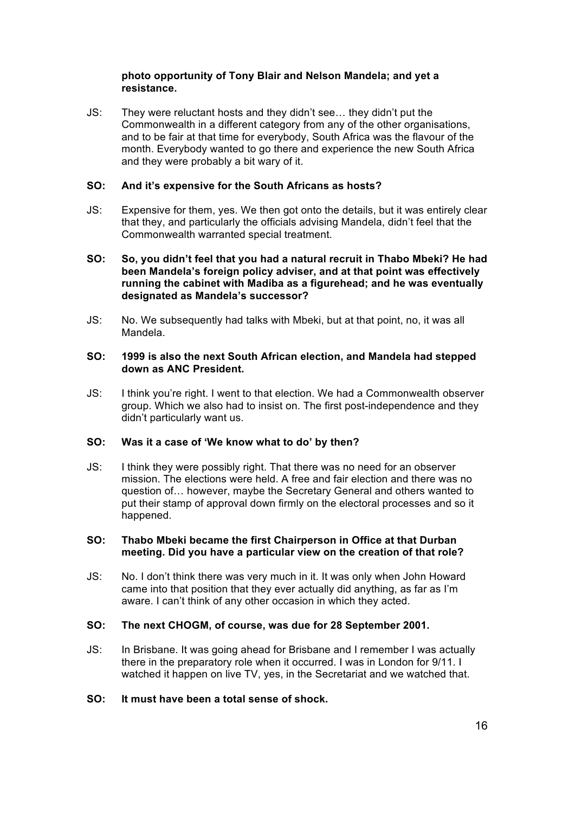# **photo opportunity of Tony Blair and Nelson Mandela; and yet a resistance.**

JS: They were reluctant hosts and they didn't see… they didn't put the Commonwealth in a different category from any of the other organisations, and to be fair at that time for everybody, South Africa was the flavour of the month. Everybody wanted to go there and experience the new South Africa and they were probably a bit wary of it.

# **SO: And it's expensive for the South Africans as hosts?**

JS: Expensive for them, yes. We then got onto the details, but it was entirely clear that they, and particularly the officials advising Mandela, didn't feel that the Commonwealth warranted special treatment.

### **SO: So, you didn't feel that you had a natural recruit in Thabo Mbeki? He had been Mandela's foreign policy adviser, and at that point was effectively running the cabinet with Madiba as a figurehead; and he was eventually designated as Mandela's successor?**

JS: No. We subsequently had talks with Mbeki, but at that point, no, it was all Mandela.

#### **SO: 1999 is also the next South African election, and Mandela had stepped down as ANC President.**

JS: I think you're right. I went to that election. We had a Commonwealth observer group. Which we also had to insist on. The first post-independence and they didn't particularly want us.

#### **SO: Was it a case of 'We know what to do' by then?**

JS: I think they were possibly right. That there was no need for an observer mission. The elections were held. A free and fair election and there was no question of… however, maybe the Secretary General and others wanted to put their stamp of approval down firmly on the electoral processes and so it happened.

### **SO: Thabo Mbeki became the first Chairperson in Office at that Durban meeting. Did you have a particular view on the creation of that role?**

JS: No. I don't think there was very much in it. It was only when John Howard came into that position that they ever actually did anything, as far as I'm aware. I can't think of any other occasion in which they acted.

# **SO: The next CHOGM, of course, was due for 28 September 2001.**

JS: In Brisbane. It was going ahead for Brisbane and I remember I was actually there in the preparatory role when it occurred. I was in London for 9/11. I watched it happen on live TV, yes, in the Secretariat and we watched that.

#### **SO: It must have been a total sense of shock.**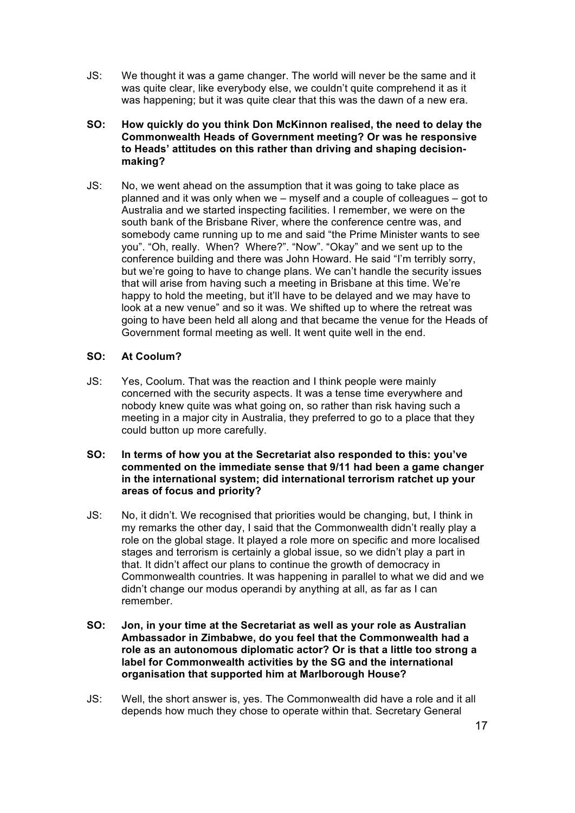- JS: We thought it was a game changer. The world will never be the same and it was quite clear, like everybody else, we couldn't quite comprehend it as it was happening; but it was quite clear that this was the dawn of a new era.
- **SO: How quickly do you think Don McKinnon realised, the need to delay the Commonwealth Heads of Government meeting? Or was he responsive to Heads' attitudes on this rather than driving and shaping decisionmaking?**
- JS: No, we went ahead on the assumption that it was going to take place as planned and it was only when we – myself and a couple of colleagues – got to Australia and we started inspecting facilities. I remember, we were on the south bank of the Brisbane River, where the conference centre was, and somebody came running up to me and said "the Prime Minister wants to see you". "Oh, really. When? Where?". "Now". "Okay" and we sent up to the conference building and there was John Howard. He said "I'm terribly sorry, but we're going to have to change plans. We can't handle the security issues that will arise from having such a meeting in Brisbane at this time. We're happy to hold the meeting, but it'll have to be delayed and we may have to look at a new venue" and so it was. We shifted up to where the retreat was going to have been held all along and that became the venue for the Heads of Government formal meeting as well. It went quite well in the end.

# **SO: At Coolum?**

- JS: Yes, Coolum. That was the reaction and I think people were mainly concerned with the security aspects. It was a tense time everywhere and nobody knew quite was what going on, so rather than risk having such a meeting in a major city in Australia, they preferred to go to a place that they could button up more carefully.
- **SO: In terms of how you at the Secretariat also responded to this: you've commented on the immediate sense that 9/11 had been a game changer in the international system; did international terrorism ratchet up your areas of focus and priority?**
- JS: No, it didn't. We recognised that priorities would be changing, but, I think in my remarks the other day, I said that the Commonwealth didn't really play a role on the global stage. It played a role more on specific and more localised stages and terrorism is certainly a global issue, so we didn't play a part in that. It didn't affect our plans to continue the growth of democracy in Commonwealth countries. It was happening in parallel to what we did and we didn't change our modus operandi by anything at all, as far as I can remember.
- **SO: Jon, in your time at the Secretariat as well as your role as Australian Ambassador in Zimbabwe, do you feel that the Commonwealth had a role as an autonomous diplomatic actor? Or is that a little too strong a label for Commonwealth activities by the SG and the international organisation that supported him at Marlborough House?**
- JS: Well, the short answer is, yes. The Commonwealth did have a role and it all depends how much they chose to operate within that. Secretary General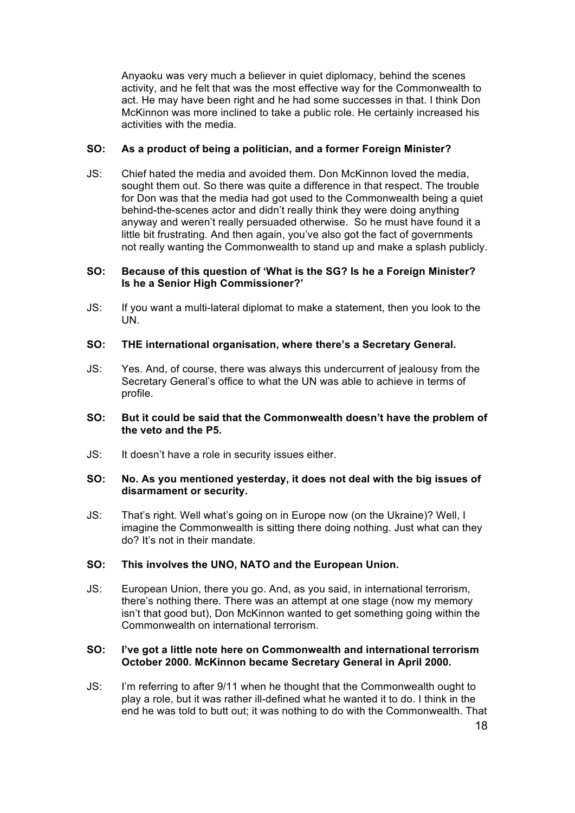Anyaoku was very much a believer in quiet diplomacy, behind the scenes activity, and he felt that was the most effective way for the Commonwealth to act. He may have been right and he had some successes in that. I think Don McKinnon was more inclined to take a public role. He certainly increased his activities with the media.

# **SO: As a product of being a politician, and a former Foreign Minister?**

JS: Chief hated the media and avoided them. Don McKinnon loved the media, sought them out. So there was quite a difference in that respect. The trouble for Don was that the media had got used to the Commonwealth being a quiet behind-the-scenes actor and didn't really think they were doing anything anyway and weren't really persuaded otherwise. So he must have found it a little bit frustrating. And then again, you've also got the fact of governments not really wanting the Commonwealth to stand up and make a splash publicly.

#### **SO: Because of this question of 'What is the SG? Is he a Foreign Minister? Is he a Senior High Commissioner?'**

JS: If you want a multi-lateral diplomat to make a statement, then you look to the UN.

#### **SO: THE international organisation, where there's a Secretary General.**

JS: Yes. And, of course, there was always this undercurrent of jealousy from the Secretary General's office to what the UN was able to achieve in terms of profile.

### **SO: But it could be said that the Commonwealth doesn't have the problem of the veto and the P5.**

JS: It doesn't have a role in security issues either.

#### **SO: No. As you mentioned yesterday, it does not deal with the big issues of disarmament or security.**

JS: That's right. Well what's going on in Europe now (on the Ukraine)? Well, I imagine the Commonwealth is sitting there doing nothing. Just what can they do? It's not in their mandate.

### **SO: This involves the UNO, NATO and the European Union.**

JS: European Union, there you go. And, as you said, in international terrorism, there's nothing there. There was an attempt at one stage (now my memory isn't that good but), Don McKinnon wanted to get something going within the Commonwealth on international terrorism.

#### **SO: I've got a little note here on Commonwealth and international terrorism October 2000. McKinnon became Secretary General in April 2000.**

JS: I'm referring to after 9/11 when he thought that the Commonwealth ought to play a role, but it was rather ill-defined what he wanted it to do. I think in the end he was told to butt out; it was nothing to do with the Commonwealth. That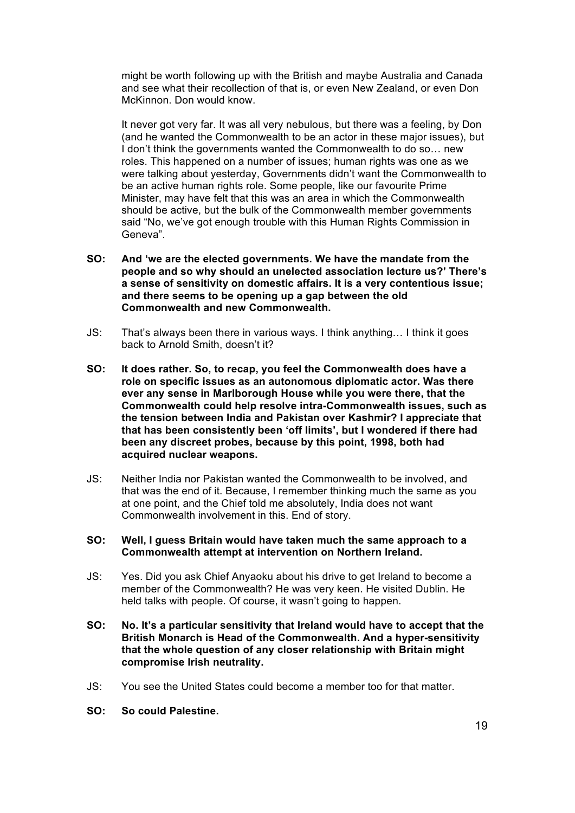might be worth following up with the British and maybe Australia and Canada and see what their recollection of that is, or even New Zealand, or even Don McKinnon. Don would know.

It never got very far. It was all very nebulous, but there was a feeling, by Don (and he wanted the Commonwealth to be an actor in these major issues), but I don't think the governments wanted the Commonwealth to do so… new roles. This happened on a number of issues; human rights was one as we were talking about yesterday, Governments didn't want the Commonwealth to be an active human rights role. Some people, like our favourite Prime Minister, may have felt that this was an area in which the Commonwealth should be active, but the bulk of the Commonwealth member governments said "No, we've got enough trouble with this Human Rights Commission in Geneva".

- **SO: And 'we are the elected governments. We have the mandate from the people and so why should an unelected association lecture us?' There's a sense of sensitivity on domestic affairs. It is a very contentious issue; and there seems to be opening up a gap between the old Commonwealth and new Commonwealth.**
- JS: That's always been there in various ways. I think anything… I think it goes back to Arnold Smith, doesn't it?
- **SO: It does rather. So, to recap, you feel the Commonwealth does have a role on specific issues as an autonomous diplomatic actor. Was there ever any sense in Marlborough House while you were there, that the Commonwealth could help resolve intra-Commonwealth issues, such as the tension between India and Pakistan over Kashmir? I appreciate that that has been consistently been 'off limits', but I wondered if there had been any discreet probes, because by this point, 1998, both had acquired nuclear weapons.**
- JS: Neither India nor Pakistan wanted the Commonwealth to be involved, and that was the end of it. Because, I remember thinking much the same as you at one point, and the Chief told me absolutely, India does not want Commonwealth involvement in this. End of story.

#### **SO: Well, I guess Britain would have taken much the same approach to a Commonwealth attempt at intervention on Northern Ireland.**

- JS: Yes. Did you ask Chief Anyaoku about his drive to get Ireland to become a member of the Commonwealth? He was very keen. He visited Dublin. He held talks with people. Of course, it wasn't going to happen.
- **SO: No. It's a particular sensitivity that Ireland would have to accept that the British Monarch is Head of the Commonwealth. And a hyper-sensitivity that the whole question of any closer relationship with Britain might compromise Irish neutrality.**
- JS: You see the United States could become a member too for that matter.
- **SO: So could Palestine.**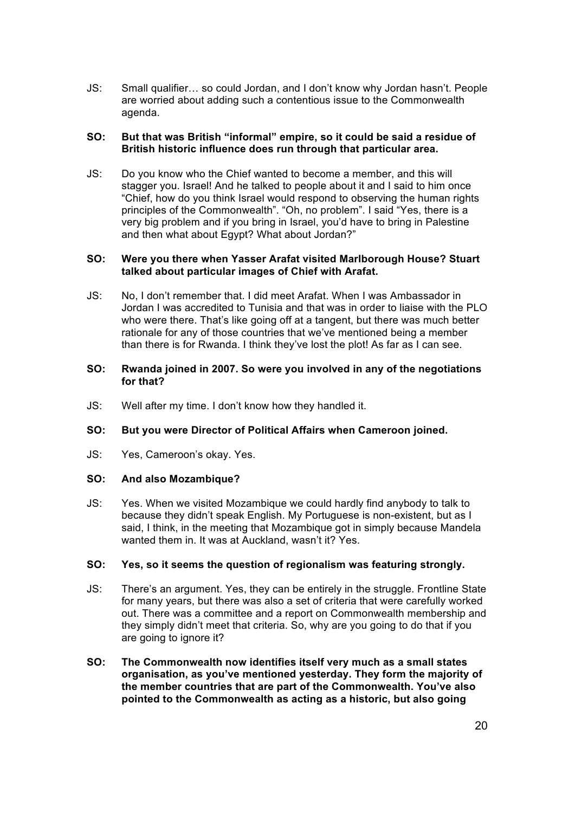JS: Small qualifier… so could Jordan, and I don't know why Jordan hasn't. People are worried about adding such a contentious issue to the Commonwealth agenda.

# **SO: But that was British "informal" empire, so it could be said a residue of British historic influence does run through that particular area.**

JS: Do you know who the Chief wanted to become a member, and this will stagger you. Israel! And he talked to people about it and I said to him once "Chief, how do you think Israel would respond to observing the human rights principles of the Commonwealth". "Oh, no problem". I said "Yes, there is a very big problem and if you bring in Israel, you'd have to bring in Palestine and then what about Egypt? What about Jordan?"

### **SO: Were you there when Yasser Arafat visited Marlborough House? Stuart talked about particular images of Chief with Arafat.**

JS: No, I don't remember that. I did meet Arafat. When I was Ambassador in Jordan I was accredited to Tunisia and that was in order to liaise with the PLO who were there. That's like going off at a tangent, but there was much better rationale for any of those countries that we've mentioned being a member than there is for Rwanda. I think they've lost the plot! As far as I can see.

#### **SO: Rwanda joined in 2007. So were you involved in any of the negotiations for that?**

JS: Well after my time. I don't know how they handled it.

# **SO: But you were Director of Political Affairs when Cameroon joined.**

JS: Yes, Cameroon's okay. Yes.

# **SO: And also Mozambique?**

JS: Yes. When we visited Mozambique we could hardly find anybody to talk to because they didn't speak English. My Portuguese is non-existent, but as I said, I think, in the meeting that Mozambique got in simply because Mandela wanted them in. It was at Auckland, wasn't it? Yes.

# **SO: Yes, so it seems the question of regionalism was featuring strongly.**

- JS: There's an argument. Yes, they can be entirely in the struggle. Frontline State for many years, but there was also a set of criteria that were carefully worked out. There was a committee and a report on Commonwealth membership and they simply didn't meet that criteria. So, why are you going to do that if you are going to ignore it?
- **SO: The Commonwealth now identifies itself very much as a small states organisation, as you've mentioned yesterday. They form the majority of the member countries that are part of the Commonwealth. You've also pointed to the Commonwealth as acting as a historic, but also going**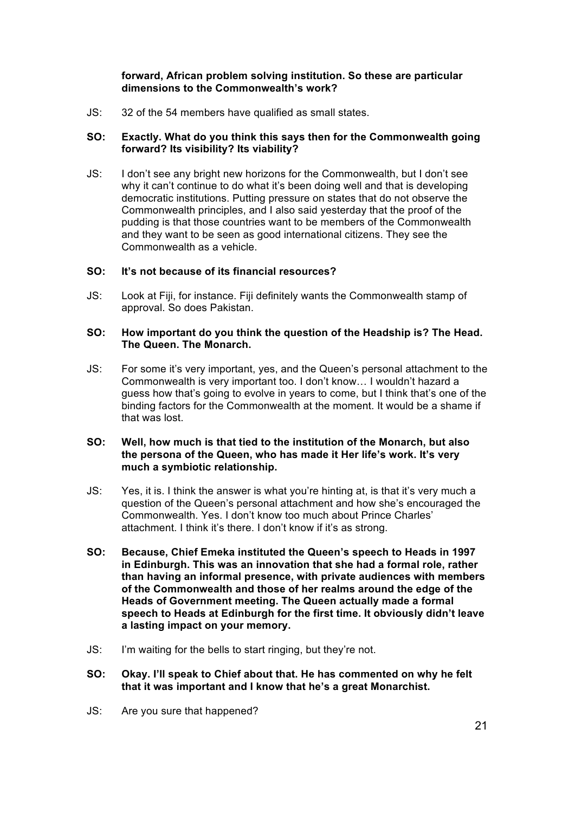# **forward, African problem solving institution. So these are particular dimensions to the Commonwealth's work?**

JS: 32 of the 54 members have qualified as small states.

# **SO: Exactly. What do you think this says then for the Commonwealth going forward? Its visibility? Its viability?**

JS: I don't see any bright new horizons for the Commonwealth, but I don't see why it can't continue to do what it's been doing well and that is developing democratic institutions. Putting pressure on states that do not observe the Commonwealth principles, and I also said yesterday that the proof of the pudding is that those countries want to be members of the Commonwealth and they want to be seen as good international citizens. They see the Commonwealth as a vehicle.

### **SO: It's not because of its financial resources?**

JS: Look at Fiji, for instance. Fiji definitely wants the Commonwealth stamp of approval. So does Pakistan.

#### **SO: How important do you think the question of the Headship is? The Head. The Queen. The Monarch.**

JS: For some it's very important, yes, and the Queen's personal attachment to the Commonwealth is very important too. I don't know… I wouldn't hazard a guess how that's going to evolve in years to come, but I think that's one of the binding factors for the Commonwealth at the moment. It would be a shame if that was lost.

# **SO: Well, how much is that tied to the institution of the Monarch, but also the persona of the Queen, who has made it Her life's work. It's very much a symbiotic relationship.**

- JS: Yes, it is. I think the answer is what you're hinting at, is that it's very much a question of the Queen's personal attachment and how she's encouraged the Commonwealth. Yes. I don't know too much about Prince Charles' attachment. I think it's there. I don't know if it's as strong.
- **SO: Because, Chief Emeka instituted the Queen's speech to Heads in 1997 in Edinburgh. This was an innovation that she had a formal role, rather than having an informal presence, with private audiences with members of the Commonwealth and those of her realms around the edge of the Heads of Government meeting. The Queen actually made a formal speech to Heads at Edinburgh for the first time. It obviously didn't leave a lasting impact on your memory.**
- JS: I'm waiting for the bells to start ringing, but they're not.
- **SO: Okay. I'll speak to Chief about that. He has commented on why he felt that it was important and I know that he's a great Monarchist.**
- JS: Are you sure that happened?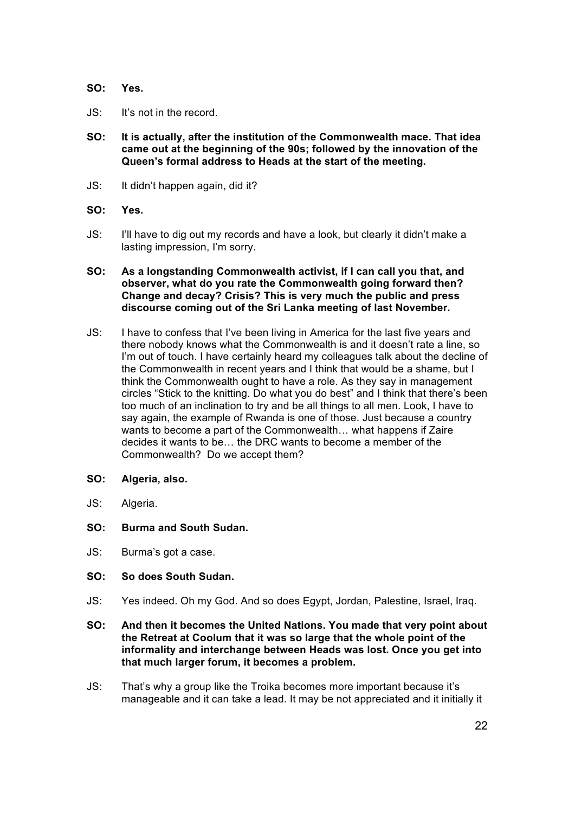# **SO: Yes.**

- JS: It's not in the record.
- **SO: It is actually, after the institution of the Commonwealth mace. That idea came out at the beginning of the 90s; followed by the innovation of the Queen's formal address to Heads at the start of the meeting.**
- JS: It didn't happen again, did it?
- **SO: Yes.**
- JS: I'll have to dig out my records and have a look, but clearly it didn't make a lasting impression, I'm sorry.
- **SO: As a longstanding Commonwealth activist, if I can call you that, and observer, what do you rate the Commonwealth going forward then? Change and decay? Crisis? This is very much the public and press discourse coming out of the Sri Lanka meeting of last November.**
- JS: I have to confess that I've been living in America for the last five years and there nobody knows what the Commonwealth is and it doesn't rate a line, so I'm out of touch. I have certainly heard my colleagues talk about the decline of the Commonwealth in recent years and I think that would be a shame, but I think the Commonwealth ought to have a role. As they say in management circles "Stick to the knitting. Do what you do best" and I think that there's been too much of an inclination to try and be all things to all men. Look, I have to say again, the example of Rwanda is one of those. Just because a country wants to become a part of the Commonwealth… what happens if Zaire decides it wants to be… the DRC wants to become a member of the Commonwealth? Do we accept them?
- **SO: Algeria, also.**
- JS: Algeria.
- **SO: Burma and South Sudan.**
- JS: Burma's got a case.

### **SO: So does South Sudan.**

- JS: Yes indeed. Oh my God. And so does Egypt, Jordan, Palestine, Israel, Iraq.
- **SO: And then it becomes the United Nations. You made that very point about the Retreat at Coolum that it was so large that the whole point of the informality and interchange between Heads was lost. Once you get into that much larger forum, it becomes a problem.**
- JS: That's why a group like the Troika becomes more important because it's manageable and it can take a lead. It may be not appreciated and it initially it